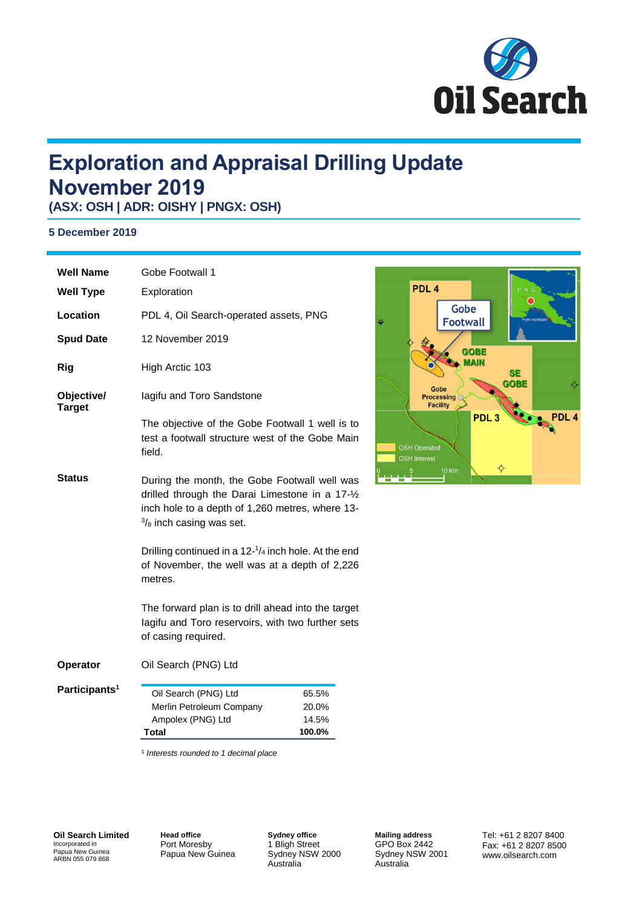

# **Exploration and Appraisal Drilling Update November 2019**

**(ASX: OSH | ADR: OISHY | PNGX: OSH)**

### **5 December 2019**

| <b>Well Name</b>            | Gobe Footwall 1                                                                                                                                                                                                                                                                                                                                                                                                                                  |                                   |
|-----------------------------|--------------------------------------------------------------------------------------------------------------------------------------------------------------------------------------------------------------------------------------------------------------------------------------------------------------------------------------------------------------------------------------------------------------------------------------------------|-----------------------------------|
| <b>Well Type</b>            | Exploration                                                                                                                                                                                                                                                                                                                                                                                                                                      |                                   |
| Location                    | PDL 4, Oil Search-operated assets, PNG                                                                                                                                                                                                                                                                                                                                                                                                           |                                   |
| <b>Spud Date</b>            | 12 November 2019                                                                                                                                                                                                                                                                                                                                                                                                                                 |                                   |
| Rig                         | High Arctic 103                                                                                                                                                                                                                                                                                                                                                                                                                                  |                                   |
| Objective/<br><b>Target</b> | lagifu and Toro Sandstone                                                                                                                                                                                                                                                                                                                                                                                                                        |                                   |
|                             | The objective of the Gobe Footwall 1 well is to<br>test a footwall structure west of the Gobe Main<br>field.                                                                                                                                                                                                                                                                                                                                     |                                   |
| <b>Status</b>               | During the month, the Gobe Footwall well was<br>drilled through the Darai Limestone in a 17-1/2<br>inch hole to a depth of 1,260 metres, where 13-<br>$\frac{3}{8}$ inch casing was set.<br>Drilling continued in a $12-1/4$ inch hole. At the end<br>of November, the well was at a depth of 2,226<br>metres.<br>The forward plan is to drill ahead into the target<br>lagifu and Toro reservoirs, with two further sets<br>of casing required. |                                   |
|                             |                                                                                                                                                                                                                                                                                                                                                                                                                                                  |                                   |
|                             |                                                                                                                                                                                                                                                                                                                                                                                                                                                  |                                   |
| Operator                    | Oil Search (PNG) Ltd                                                                                                                                                                                                                                                                                                                                                                                                                             |                                   |
| Participants <sup>1</sup>   | Oil Search (PNG) Ltd<br>Merlin Petroleum Company<br>Ampolex (PNG) Ltd<br>Total                                                                                                                                                                                                                                                                                                                                                                   | 65.5%<br>20.0%<br>14.5%<br>100.0% |

1 *Interests rounded to 1 decimal place*

**Oil Search Limited** Incorporated in Papua New Guinea ARBN 055 079 868

**Head office** Port Moresby Papua New Guinea

**Sydney office** 1 Bligh Street Sydney NSW 2000 Australia

**Mailing address** GPO Box 2442 Sydney NSW 2001 Australia

Tel: +61 2 8207 8400 Fax: +61 2 8207 8500 www.oilsearch.com